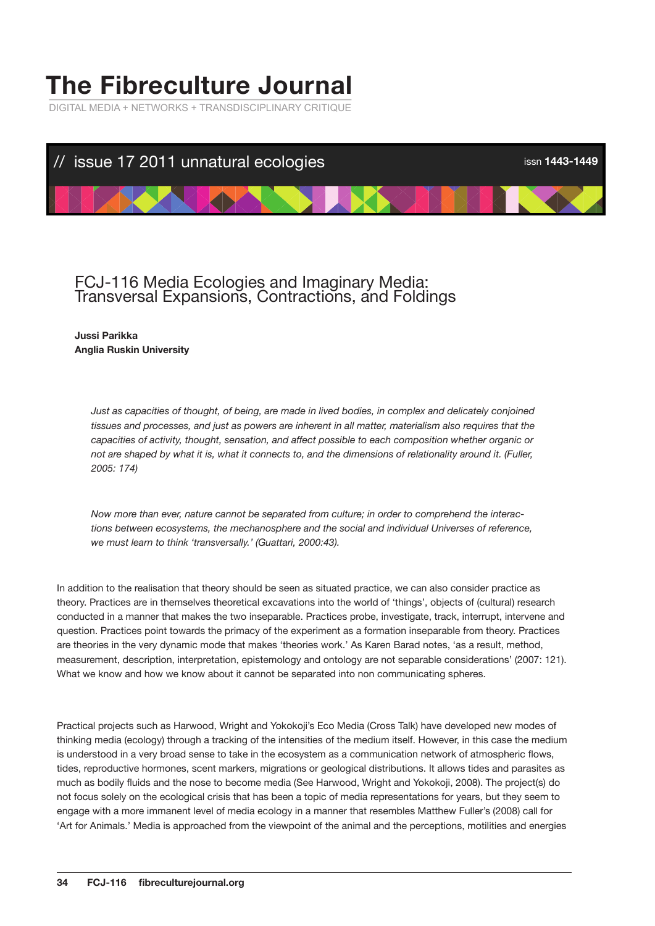# **The Fibreculture Journal**

DIGITAL MEDIA + NETWORKS + TRANSDISCIPLINARY CRITIQUE



# FCJ-116 Media Ecologies and Imaginary Media: Transversal Expansions, Contractions, and Foldings

# **Jussi Parikka Anglia Ruskin University**

*Just as capacities of thought, of being, are made in lived bodies, in complex and delicately conjoined tissues and processes, and just as powers are inherent in all matter, materialism also requires that the capacities of activity, thought, sensation, and affect possible to each composition whether organic or not are shaped by what it is, what it connects to, and the dimensions of relationality around it. (Fuller, 2005: 174)*

*Now more than ever, nature cannot be separated from culture; in order to comprehend the interactions between ecosystems, the mechanosphere and the social and individual Universes of reference, we must learn to think 'transversally.' (Guattari, 2000:43).*

In addition to the realisation that theory should be seen as situated practice, we can also consider practice as theory. Practices are in themselves theoretical excavations into the world of 'things', objects of (cultural) research conducted in a manner that makes the two inseparable. Practices probe, investigate, track, interrupt, intervene and question. Practices point towards the primacy of the experiment as a formation inseparable from theory. Practices are theories in the very dynamic mode that makes 'theories work.' As Karen Barad notes, 'as a result, method, measurement, description, interpretation, epistemology and ontology are not separable considerations' (2007: 121). What we know and how we know about it cannot be separated into non communicating spheres.

Practical projects such as Harwood, Wright and Yokokoji's Eco Media (Cross Talk) have developed new modes of thinking media (ecology) through a tracking of the intensities of the medium itself. However, in this case the medium is understood in a very broad sense to take in the ecosystem as a communication network of atmospheric flows, tides, reproductive hormones, scent markers, migrations or geological distributions. It allows tides and parasites as much as bodily fluids and the nose to become media (See Harwood, Wright and Yokokoji, 2008). The project(s) do not focus solely on the ecological crisis that has been a topic of media representations for years, but they seem to engage with a more immanent level of media ecology in a manner that resembles Matthew Fuller's (2008) call for 'Art for Animals.' Media is approached from the viewpoint of the animal and the perceptions, motilities and energies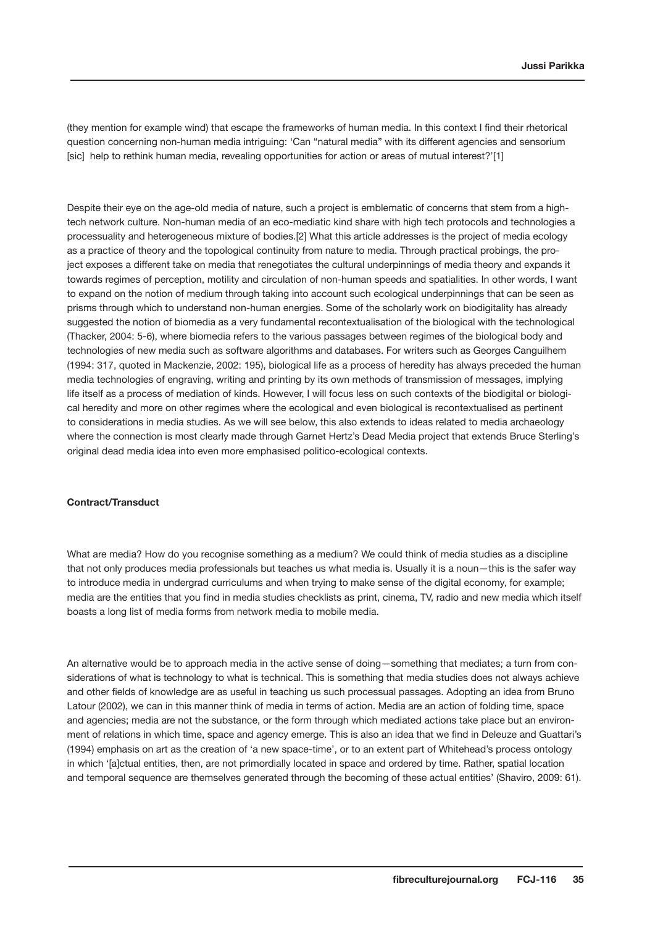(they mention for example wind) that escape the frameworks of human media. In this context I find their rhetorical question concerning non-human media intriguing: 'Can "natural media" with its different agencies and sensorium [sic] help to rethink human media, revealing opportunities for action or areas of mutual interest?'[1]

Despite their eye on the age-old media of nature, such a project is emblematic of concerns that stem from a hightech network culture. Non-human media of an eco-mediatic kind share with high tech protocols and technologies a processuality and heterogeneous mixture of bodies.[2] What this article addresses is the project of media ecology as a practice of theory and the topological continuity from nature to media. Through practical probings, the project exposes a different take on media that renegotiates the cultural underpinnings of media theory and expands it towards regimes of perception, motility and circulation of non-human speeds and spatialities. In other words, I want to expand on the notion of medium through taking into account such ecological underpinnings that can be seen as prisms through which to understand non-human energies. Some of the scholarly work on biodigitality has already suggested the notion of biomedia as a very fundamental recontextualisation of the biological with the technological (Thacker, 2004: 5-6), where biomedia refers to the various passages between regimes of the biological body and technologies of new media such as software algorithms and databases. For writers such as Georges Canguilhem (1994: 317, quoted in Mackenzie, 2002: 195), biological life as a process of heredity has always preceded the human media technologies of engraving, writing and printing by its own methods of transmission of messages, implying life itself as a process of mediation of kinds. However, I will focus less on such contexts of the biodigital or biological heredity and more on other regimes where the ecological and even biological is recontextualised as pertinent to considerations in media studies. As we will see below, this also extends to ideas related to media archaeology where the connection is most clearly made through Garnet Hertz's Dead Media project that extends Bruce Sterling's original dead media idea into even more emphasised politico-ecological contexts.

#### **Contract/Transduct**

What are media? How do you recognise something as a medium? We could think of media studies as a discipline that not only produces media professionals but teaches us what media is. Usually it is a noun—this is the safer way to introduce media in undergrad curriculums and when trying to make sense of the digital economy, for example; media are the entities that you find in media studies checklists as print, cinema, TV, radio and new media which itself boasts a long list of media forms from network media to mobile media.

An alternative would be to approach media in the active sense of doing—something that mediates; a turn from considerations of what is technology to what is technical. This is something that media studies does not always achieve and other fields of knowledge are as useful in teaching us such processual passages. Adopting an idea from Bruno Latour (2002), we can in this manner think of media in terms of action. Media are an action of folding time, space and agencies; media are not the substance, or the form through which mediated actions take place but an environment of relations in which time, space and agency emerge. This is also an idea that we find in Deleuze and Guattari's (1994) emphasis on art as the creation of 'a new space-time', or to an extent part of Whitehead's process ontology in which '[a]ctual entities, then, are not primordially located in space and ordered by time. Rather, spatial location and temporal sequence are themselves generated through the becoming of these actual entities' (Shaviro, 2009: 61).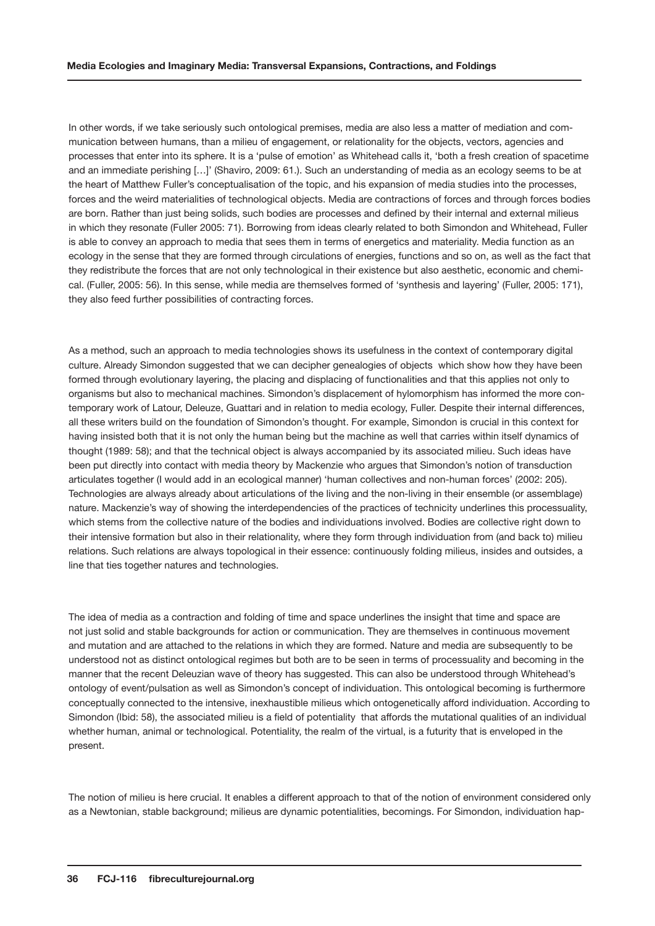In other words, if we take seriously such ontological premises, media are also less a matter of mediation and communication between humans, than a milieu of engagement, or relationality for the objects, vectors, agencies and processes that enter into its sphere. It is a 'pulse of emotion' as Whitehead calls it, 'both a fresh creation of spacetime and an immediate perishing […]' (Shaviro, 2009: 61.). Such an understanding of media as an ecology seems to be at the heart of Matthew Fuller's conceptualisation of the topic, and his expansion of media studies into the processes, forces and the weird materialities of technological objects. Media are contractions of forces and through forces bodies are born. Rather than just being solids, such bodies are processes and defined by their internal and external milieus in which they resonate (Fuller 2005: 71). Borrowing from ideas clearly related to both Simondon and Whitehead, Fuller is able to convey an approach to media that sees them in terms of energetics and materiality. Media function as an ecology in the sense that they are formed through circulations of energies, functions and so on, as well as the fact that they redistribute the forces that are not only technological in their existence but also aesthetic, economic and chemical. (Fuller, 2005: 56). In this sense, while media are themselves formed of 'synthesis and layering' (Fuller, 2005: 171), they also feed further possibilities of contracting forces.

As a method, such an approach to media technologies shows its usefulness in the context of contemporary digital culture. Already Simondon suggested that we can decipher genealogies of objects which show how they have been formed through evolutionary layering, the placing and displacing of functionalities and that this applies not only to organisms but also to mechanical machines. Simondon's displacement of hylomorphism has informed the more contemporary work of Latour, Deleuze, Guattari and in relation to media ecology, Fuller. Despite their internal differences, all these writers build on the foundation of Simondon's thought. For example, Simondon is crucial in this context for having insisted both that it is not only the human being but the machine as well that carries within itself dynamics of thought (1989: 58); and that the technical object is always accompanied by its associated milieu. Such ideas have been put directly into contact with media theory by Mackenzie who argues that Simondon's notion of transduction articulates together (I would add in an ecological manner) 'human collectives and non-human forces' (2002: 205). Technologies are always already about articulations of the living and the non-living in their ensemble (or assemblage) nature. Mackenzie's way of showing the interdependencies of the practices of technicity underlines this processuality, which stems from the collective nature of the bodies and individuations involved. Bodies are collective right down to their intensive formation but also in their relationality, where they form through individuation from (and back to) milieu relations. Such relations are always topological in their essence: continuously folding milieus, insides and outsides, a line that ties together natures and technologies.

The idea of media as a contraction and folding of time and space underlines the insight that time and space are not just solid and stable backgrounds for action or communication. They are themselves in continuous movement and mutation and are attached to the relations in which they are formed. Nature and media are subsequently to be understood not as distinct ontological regimes but both are to be seen in terms of processuality and becoming in the manner that the recent Deleuzian wave of theory has suggested. This can also be understood through Whitehead's ontology of event/pulsation as well as Simondon's concept of individuation. This ontological becoming is furthermore conceptually connected to the intensive, inexhaustible milieus which ontogenetically afford individuation. According to Simondon (Ibid: 58), the associated milieu is a field of potentiality that affords the mutational qualities of an individual whether human, animal or technological. Potentiality, the realm of the virtual, is a futurity that is enveloped in the present.

The notion of milieu is here crucial. It enables a different approach to that of the notion of environment considered only as a Newtonian, stable background; milieus are dynamic potentialities, becomings. For Simondon, individuation hap-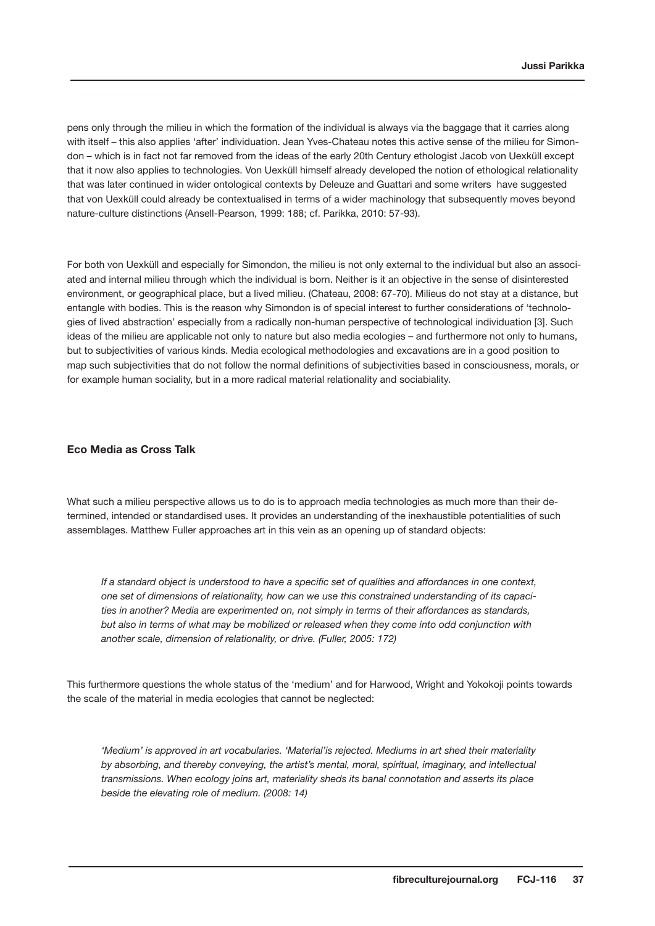pens only through the milieu in which the formation of the individual is always via the baggage that it carries along with itself – this also applies 'after' individuation. Jean Yves-Chateau notes this active sense of the milieu for Simondon – which is in fact not far removed from the ideas of the early 20th Century ethologist Jacob von Uexküll except that it now also applies to technologies. Von Uexküll himself already developed the notion of ethological relationality that was later continued in wider ontological contexts by Deleuze and Guattari and some writers have suggested that von Uexküll could already be contextualised in terms of a wider machinology that subsequently moves beyond nature-culture distinctions (Ansell-Pearson, 1999: 188; cf. Parikka, 2010: 57-93).

For both von Uexküll and especially for Simondon, the milieu is not only external to the individual but also an associated and internal milieu through which the individual is born. Neither is it an objective in the sense of disinterested environment, or geographical place, but a lived milieu. (Chateau, 2008: 67-70). Milieus do not stay at a distance, but entangle with bodies. This is the reason why Simondon is of special interest to further considerations of 'technologies of lived abstraction' especially from a radically non-human perspective of technological individuation [3]. Such ideas of the milieu are applicable not only to nature but also media ecologies – and furthermore not only to humans, but to subjectivities of various kinds. Media ecological methodologies and excavations are in a good position to map such subjectivities that do not follow the normal definitions of subjectivities based in consciousness, morals, or for example human sociality, but in a more radical material relationality and sociabiality.

# **Eco Media as Cross Talk**

What such a milieu perspective allows us to do is to approach media technologies as much more than their determined, intended or standardised uses. It provides an understanding of the inexhaustible potentialities of such assemblages. Matthew Fuller approaches art in this vein as an opening up of standard objects:

*If a standard object is understood to have a specific set of qualities and affordances in one context, one set of dimensions of relationality, how can we use this constrained understanding of its capacities in another? Media are experimented on, not simply in terms of their affordances as standards, but also in terms of what may be mobilized or released when they come into odd conjunction with another scale, dimension of relationality, or drive. (Fuller, 2005: 172)*

This furthermore questions the whole status of the 'medium' and for Harwood, Wright and Yokokoji points towards the scale of the material in media ecologies that cannot be neglected:

*'Medium' is approved in art vocabularies. 'Material'is rejected. Mediums in art shed their materiality by absorbing, and thereby conveying, the artist's mental, moral, spiritual, imaginary, and intellectual transmissions. When ecology joins art, materiality sheds its banal connotation and asserts its place beside the elevating role of medium. (2008: 14)*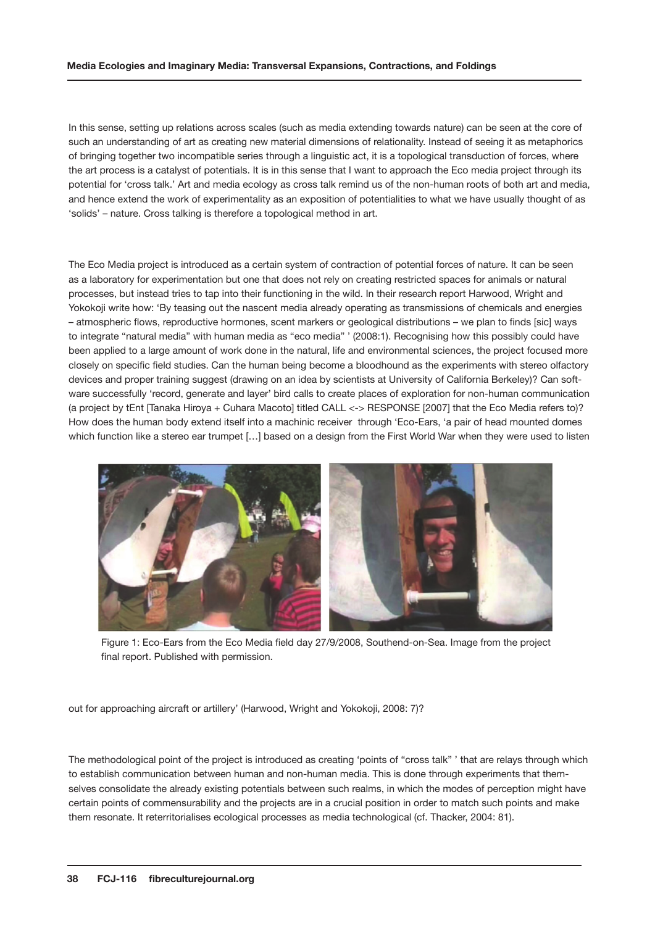In this sense, setting up relations across scales (such as media extending towards nature) can be seen at the core of such an understanding of art as creating new material dimensions of relationality. Instead of seeing it as metaphorics of bringing together two incompatible series through a linguistic act, it is a topological transduction of forces, where the art process is a catalyst of potentials. It is in this sense that I want to approach the Eco media project through its potential for 'cross talk.' Art and media ecology as cross talk remind us of the non-human roots of both art and media, and hence extend the work of experimentality as an exposition of potentialities to what we have usually thought of as 'solids' – nature. Cross talking is therefore a topological method in art.

The Eco Media project is introduced as a certain system of contraction of potential forces of nature. It can be seen as a laboratory for experimentation but one that does not rely on creating restricted spaces for animals or natural processes, but instead tries to tap into their functioning in the wild. In their research report Harwood, Wright and Yokokoji write how: 'By teasing out the nascent media already operating as transmissions of chemicals and energies – atmospheric flows, reproductive hormones, scent markers or geological distributions – we plan to finds [sic] ways to integrate "natural media" with human media as "eco media" ' (2008:1). Recognising how this possibly could have been applied to a large amount of work done in the natural, life and environmental sciences, the project focused more closely on specific field studies. Can the human being become a bloodhound as the experiments with stereo olfactory devices and proper training suggest (drawing on an idea by scientists at University of California Berkeley)? Can software successfully 'record, generate and layer' bird calls to create places of exploration for non-human communication (a project by tEnt [Tanaka Hiroya + Cuhara Macoto] titled CALL <-> RESPONSE [2007] that the Eco Media refers to)? How does the human body extend itself into a machinic receiver through 'Eco-Ears, 'a pair of head mounted domes which function like a stereo ear trumpet [...] based on a design from the First World War when they were used to listen



Figure 1: Eco-Ears from the Eco Media field day 27/9/2008, Southend-on-Sea. Image from the project final report. Published with permission.

out for approaching aircraft or artillery' (Harwood, Wright and Yokokoji, 2008: 7)?

The methodological point of the project is introduced as creating 'points of "cross talk" ' that are relays through which to establish communication between human and non-human media. This is done through experiments that themselves consolidate the already existing potentials between such realms, in which the modes of perception might have certain points of commensurability and the projects are in a crucial position in order to match such points and make them resonate. It reterritorialises ecological processes as media technological (cf. Thacker, 2004: 81).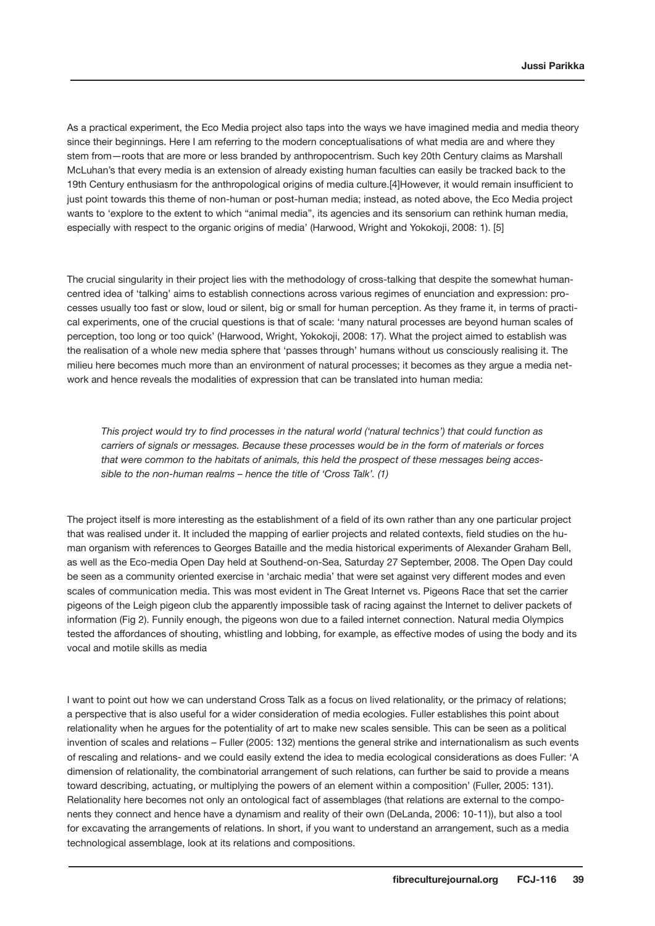As a practical experiment, the Eco Media project also taps into the ways we have imagined media and media theory since their beginnings. Here I am referring to the modern conceptualisations of what media are and where they stem from—roots that are more or less branded by anthropocentrism. Such key 20th Century claims as Marshall McLuhan's that every media is an extension of already existing human faculties can easily be tracked back to the 19th Century enthusiasm for the anthropological origins of media culture.[4]However, it would remain insufficient to just point towards this theme of non-human or post-human media; instead, as noted above, the Eco Media project wants to 'explore to the extent to which "animal media", its agencies and its sensorium can rethink human media, especially with respect to the organic origins of media' (Harwood, Wright and Yokokoji, 2008: 1). [5]

The crucial singularity in their project lies with the methodology of cross-talking that despite the somewhat humancentred idea of 'talking' aims to establish connections across various regimes of enunciation and expression: processes usually too fast or slow, loud or silent, big or small for human perception. As they frame it, in terms of practical experiments, one of the crucial questions is that of scale: 'many natural processes are beyond human scales of perception, too long or too quick' (Harwood, Wright, Yokokoji, 2008: 17). What the project aimed to establish was the realisation of a whole new media sphere that 'passes through' humans without us consciously realising it. The milieu here becomes much more than an environment of natural processes; it becomes as they argue a media network and hence reveals the modalities of expression that can be translated into human media:

*This project would try to find processes in the natural world ('natural technics') that could function as carriers of signals or messages. Because these processes would be in the form of materials or forces that were common to the habitats of animals, this held the prospect of these messages being accessible to the non-human realms – hence the title of 'Cross Talk'. (1)*

The project itself is more interesting as the establishment of a field of its own rather than any one particular project that was realised under it. It included the mapping of earlier projects and related contexts, field studies on the human organism with references to Georges Bataille and the media historical experiments of Alexander Graham Bell, as well as the Eco-media Open Day held at Southend-on-Sea, Saturday 27 September, 2008. The Open Day could be seen as a community oriented exercise in 'archaic media' that were set against very different modes and even scales of communication media. This was most evident in The Great Internet vs. Pigeons Race that set the carrier pigeons of the Leigh pigeon club the apparently impossible task of racing against the Internet to deliver packets of information (Fig 2). Funnily enough, the pigeons won due to a failed internet connection. Natural media Olympics tested the affordances of shouting, whistling and lobbing, for example, as effective modes of using the body and its vocal and motile skills as media

I want to point out how we can understand Cross Talk as a focus on lived relationality, or the primacy of relations; a perspective that is also useful for a wider consideration of media ecologies. Fuller establishes this point about relationality when he argues for the potentiality of art to make new scales sensible. This can be seen as a political invention of scales and relations – Fuller (2005: 132) mentions the general strike and internationalism as such events of rescaling and relations- and we could easily extend the idea to media ecological considerations as does Fuller: 'A dimension of relationality, the combinatorial arrangement of such relations, can further be said to provide a means toward describing, actuating, or multiplying the powers of an element within a composition' (Fuller, 2005: 131). Relationality here becomes not only an ontological fact of assemblages (that relations are external to the components they connect and hence have a dynamism and reality of their own (DeLanda, 2006: 10-11)), but also a tool for excavating the arrangements of relations. In short, if you want to understand an arrangement, such as a media technological assemblage, look at its relations and compositions.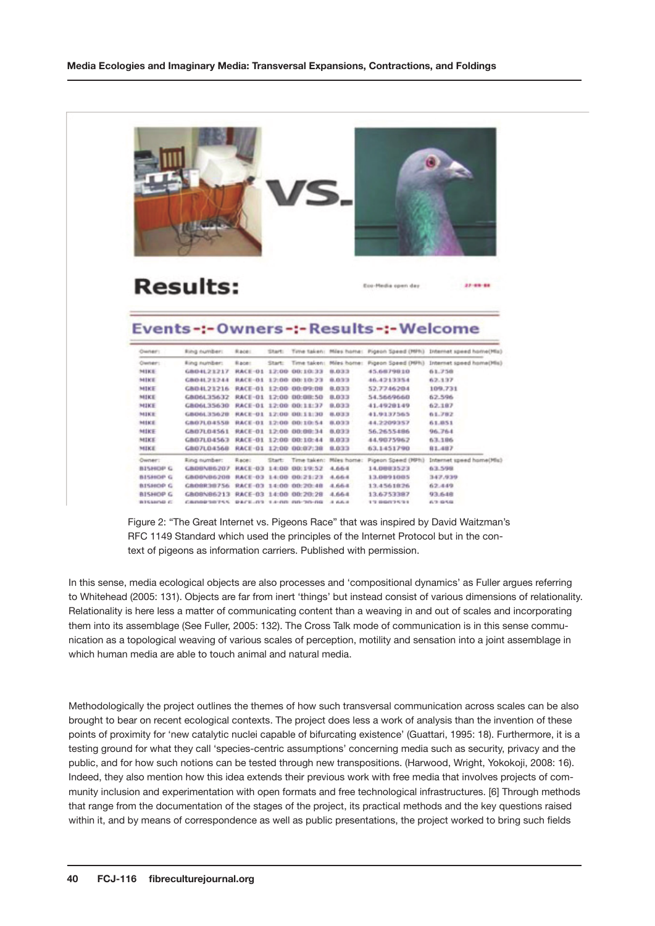|                 |                                         |              |        |                        | S.                      |                                            |                                                                                                 |
|-----------------|-----------------------------------------|--------------|--------|------------------------|-------------------------|--------------------------------------------|-------------------------------------------------------------------------------------------------|
|                 | <b>Results:</b>                         |              |        |                        |                         | Eco-Hedia open day                         | 27-69-64                                                                                        |
|                 |                                         |              |        |                        |                         |                                            |                                                                                                 |
| Cwner:          | Ring number:                            | Race:        | STAFT: |                        |                         | Events-:- Owners-:- Results-:- Welcome     |                                                                                                 |
| Clwner:         | Fing number:                            | <b>Bace:</b> | Start: |                        |                         | Time taken: Miles home: Pigeon Speed (MPh) | Time taken: Miles home: Pigeon Speed (MPN) Internet speed home(Mis)<br>Internet speed home(Mis) |
| MIKE            | GBD4L21217                              |              |        | RACE-01 12:00 00:10:33 | 0.033                   | 45.6079810                                 | 61.758                                                                                          |
| MIKE            | <b>GBD4L21244</b>                       |              |        | RACE-01 12:00 00:10:23 | 8.833                   | 46.4213354                                 | 62.137                                                                                          |
| MIKE            | GBD4L23216                              |              |        | RACE-01 12:00 00:09:08 | 8.033                   | 52.7746204                                 | 109.731                                                                                         |
| MIKE            | GBD6L35632 RACE-01 12:00 00:00:50       |              |        |                        | 8.033                   | 54.5669660                                 | 62.596                                                                                          |
| MIKE            | GB06L35630 RACE-01 12:00 00:11:37       |              |        |                        | 0.033                   | 41.4920149                                 | 62.187                                                                                          |
| MIKE            | GB06L3562B                              |              |        | RACE-01 12:00 00:11:30 | 8,033                   | 41.9137565                                 | 61.782                                                                                          |
| MIKE            | <b>GBO7LD455B</b>                       |              |        | RACE-01 12:00 00:10:54 | 8,033                   | 44.2209357                                 | 61.051                                                                                          |
| MIKE            | GBD7L04561 RACE-01 12:00 00:00:34       |              |        |                        | 0,033                   | 56.2655486                                 | 96.764                                                                                          |
| MIKE            | GBD7LD4563 RACE-D1 12:00 00:10:44       |              |        |                        | 8.033                   | 44.9075962                                 | 63.186                                                                                          |
| MIKE            | GBD7L04568                              |              |        | RACE-01 12:00 00:07:38 | 0.033                   | 63.1451790                                 | 81.487                                                                                          |
| Owner:          | Ring number:                            | Racet        | Start: |                        | Time taken: Miles home: | Pigeon Speed (MPh)                         |                                                                                                 |
| <b>BISHOP G</b> | GB08N86207 RACE-03 14:00 00:19:52       |              |        |                        | 4.664                   | 14.0003523                                 | 63.598                                                                                          |
| BISHOP G        | <b>GBDDNB6208</b>                       |              |        | RACE-03 14:00 00:21:23 | 4.664                   | 13.0091005                                 | Internet speed home(Mis)<br>347.939                                                             |
| <b>BISHOP G</b> | GB00R38756                              |              |        | RACE-03 14:00 00:20:40 | 4.664                   | 13.4561826                                 | 62.449                                                                                          |
| <b>BISHOP G</b> | GBD8NB6213 RACE-03 14:00 00:20:28 4.664 |              |        |                        |                         | 13.6753387                                 | 93.648                                                                                          |

Figure 2: "The Great Internet vs. Pigeons Race" that was inspired by David Waitzman's RFC 1149 Standard which used the principles of the Internet Protocol but in the context of pigeons as information carriers. Published with permission.

In this sense, media ecological objects are also processes and 'compositional dynamics' as Fuller argues referring to Whitehead (2005: 131). Objects are far from inert 'things' but instead consist of various dimensions of relationality. Relationality is here less a matter of communicating content than a weaving in and out of scales and incorporating them into its assemblage (See Fuller, 2005: 132). The Cross Talk mode of communication is in this sense communication as a topological weaving of various scales of perception, motility and sensation into a joint assemblage in which human media are able to touch animal and natural media.

Methodologically the project outlines the themes of how such transversal communication across scales can be also brought to bear on recent ecological contexts. The project does less a work of analysis than the invention of these points of proximity for 'new catalytic nuclei capable of bifurcating existence' (Guattari, 1995: 18). Furthermore, it is a testing ground for what they call 'species-centric assumptions' concerning media such as security, privacy and the public, and for how such notions can be tested through new transpositions. (Harwood, Wright, Yokokoji, 2008: 16). Indeed, they also mention how this idea extends their previous work with free media that involves projects of community inclusion and experimentation with open formats and free technological infrastructures. [6] Through methods that range from the documentation of the stages of the project, its practical methods and the key questions raised within it, and by means of correspondence as well as public presentations, the project worked to bring such fields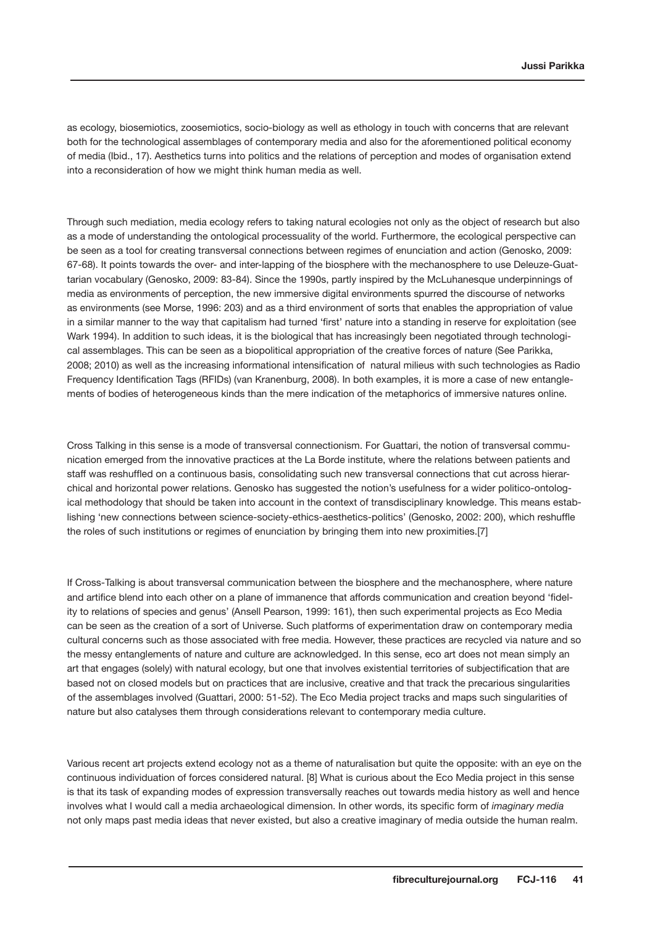as ecology, biosemiotics, zoosemiotics, socio-biology as well as ethology in touch with concerns that are relevant both for the technological assemblages of contemporary media and also for the aforementioned political economy of media (Ibid., 17). Aesthetics turns into politics and the relations of perception and modes of organisation extend into a reconsideration of how we might think human media as well.

Through such mediation, media ecology refers to taking natural ecologies not only as the object of research but also as a mode of understanding the ontological processuality of the world. Furthermore, the ecological perspective can be seen as a tool for creating transversal connections between regimes of enunciation and action (Genosko, 2009: 67-68). It points towards the over- and inter-lapping of the biosphere with the mechanosphere to use Deleuze-Guattarian vocabulary (Genosko, 2009: 83-84). Since the 1990s, partly inspired by the McLuhanesque underpinnings of media as environments of perception, the new immersive digital environments spurred the discourse of networks as environments (see Morse, 1996: 203) and as a third environment of sorts that enables the appropriation of value in a similar manner to the way that capitalism had turned 'first' nature into a standing in reserve for exploitation (see Wark 1994). In addition to such ideas, it is the biological that has increasingly been negotiated through technological assemblages. This can be seen as a biopolitical appropriation of the creative forces of nature (See Parikka, 2008; 2010) as well as the increasing informational intensification of natural milieus with such technologies as Radio Frequency Identification Tags (RFIDs) (van Kranenburg, 2008). In both examples, it is more a case of new entanglements of bodies of heterogeneous kinds than the mere indication of the metaphorics of immersive natures online.

Cross Talking in this sense is a mode of transversal connectionism. For Guattari, the notion of transversal communication emerged from the innovative practices at the La Borde institute, where the relations between patients and staff was reshuffled on a continuous basis, consolidating such new transversal connections that cut across hierarchical and horizontal power relations. Genosko has suggested the notion's usefulness for a wider politico-ontological methodology that should be taken into account in the context of transdisciplinary knowledge. This means establishing 'new connections between science-society-ethics-aesthetics-politics' (Genosko, 2002: 200), which reshuffle the roles of such institutions or regimes of enunciation by bringing them into new proximities.[7]

If Cross-Talking is about transversal communication between the biosphere and the mechanosphere, where nature and artifice blend into each other on a plane of immanence that affords communication and creation beyond 'fidelity to relations of species and genus' (Ansell Pearson, 1999: 161), then such experimental projects as Eco Media can be seen as the creation of a sort of Universe. Such platforms of experimentation draw on contemporary media cultural concerns such as those associated with free media. However, these practices are recycled via nature and so the messy entanglements of nature and culture are acknowledged. In this sense, eco art does not mean simply an art that engages (solely) with natural ecology, but one that involves existential territories of subjectification that are based not on closed models but on practices that are inclusive, creative and that track the precarious singularities of the assemblages involved (Guattari, 2000: 51-52). The Eco Media project tracks and maps such singularities of nature but also catalyses them through considerations relevant to contemporary media culture.

Various recent art projects extend ecology not as a theme of naturalisation but quite the opposite: with an eye on the continuous individuation of forces considered natural. [8] What is curious about the Eco Media project in this sense is that its task of expanding modes of expression transversally reaches out towards media history as well and hence involves what I would call a media archaeological dimension. In other words, its specific form of *imaginary media* not only maps past media ideas that never existed, but also a creative imaginary of media outside the human realm.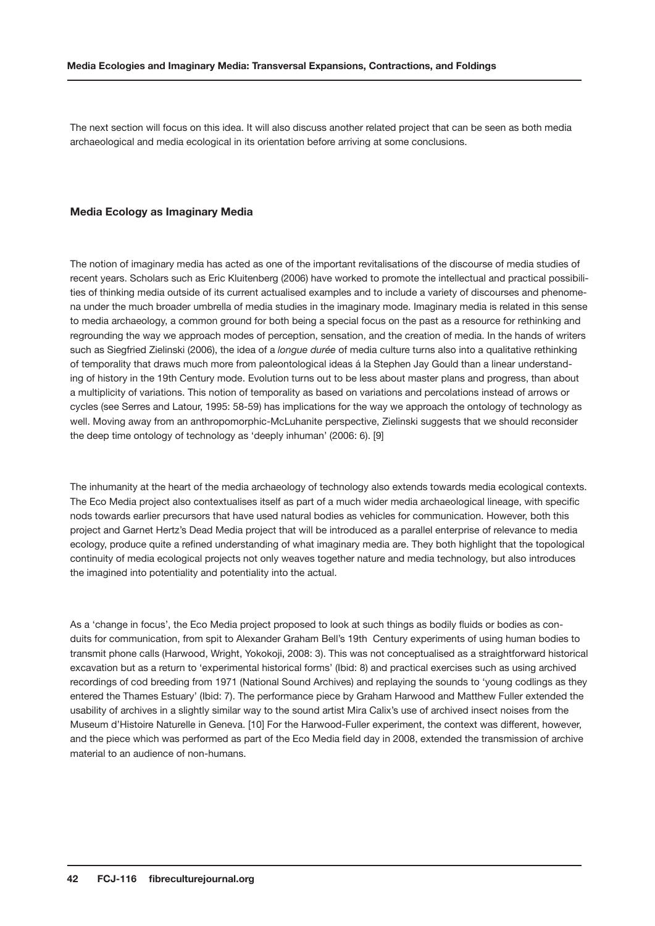The next section will focus on this idea. It will also discuss another related project that can be seen as both media archaeological and media ecological in its orientation before arriving at some conclusions.

## **Media Ecology as Imaginary Media**

The notion of imaginary media has acted as one of the important revitalisations of the discourse of media studies of recent years. Scholars such as Eric Kluitenberg (2006) have worked to promote the intellectual and practical possibilities of thinking media outside of its current actualised examples and to include a variety of discourses and phenomena under the much broader umbrella of media studies in the imaginary mode. Imaginary media is related in this sense to media archaeology, a common ground for both being a special focus on the past as a resource for rethinking and regrounding the way we approach modes of perception, sensation, and the creation of media. In the hands of writers such as Siegfried Zielinski (2006), the idea of a *longue durée* of media culture turns also into a qualitative rethinking of temporality that draws much more from paleontological ideas á la Stephen Jay Gould than a linear understanding of history in the 19th Century mode. Evolution turns out to be less about master plans and progress, than about a multiplicity of variations. This notion of temporality as based on variations and percolations instead of arrows or cycles (see Serres and Latour, 1995: 58-59) has implications for the way we approach the ontology of technology as well. Moving away from an anthropomorphic-McLuhanite perspective, Zielinski suggests that we should reconsider the deep time ontology of technology as 'deeply inhuman' (2006: 6). [9]

The inhumanity at the heart of the media archaeology of technology also extends towards media ecological contexts. The Eco Media project also contextualises itself as part of a much wider media archaeological lineage, with specific nods towards earlier precursors that have used natural bodies as vehicles for communication. However, both this project and Garnet Hertz's Dead Media project that will be introduced as a parallel enterprise of relevance to media ecology, produce quite a refined understanding of what imaginary media are. They both highlight that the topological continuity of media ecological projects not only weaves together nature and media technology, but also introduces the imagined into potentiality and potentiality into the actual.

As a 'change in focus', the Eco Media project proposed to look at such things as bodily fluids or bodies as conduits for communication, from spit to Alexander Graham Bell's 19th Century experiments of using human bodies to transmit phone calls (Harwood, Wright, Yokokoji, 2008: 3). This was not conceptualised as a straightforward historical excavation but as a return to 'experimental historical forms' (Ibid: 8) and practical exercises such as using archived recordings of cod breeding from 1971 (National Sound Archives) and replaying the sounds to 'young codlings as they entered the Thames Estuary' (Ibid: 7). The performance piece by Graham Harwood and Matthew Fuller extended the usability of archives in a slightly similar way to the sound artist Mira Calix's use of archived insect noises from the Museum d'Histoire Naturelle in Geneva. [10] For the Harwood-Fuller experiment, the context was different, however, and the piece which was performed as part of the Eco Media field day in 2008, extended the transmission of archive material to an audience of non-humans.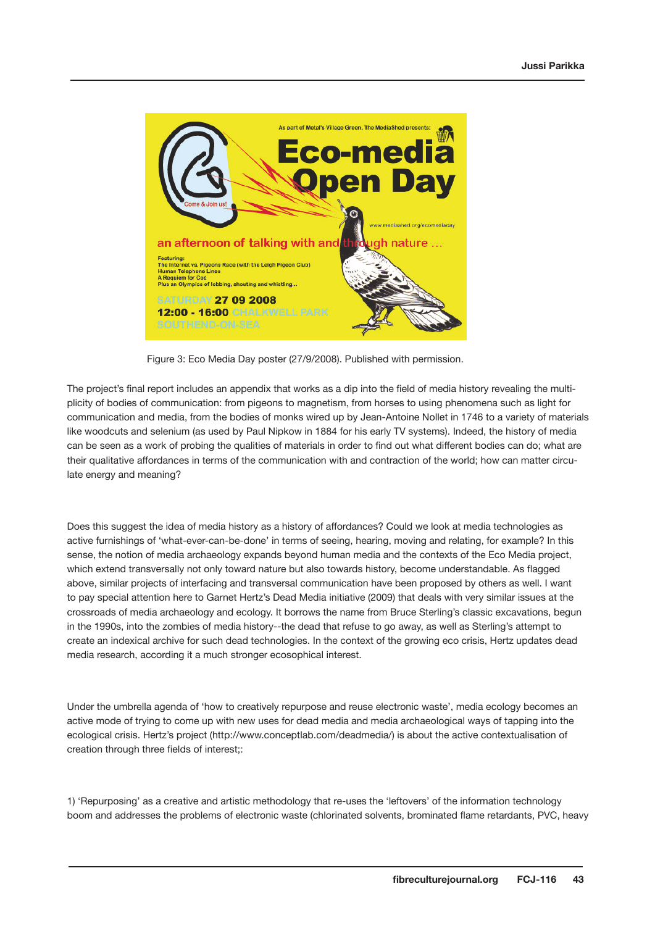

Figure 3: Eco Media Day poster (27/9/2008). Published with permission.

The project's final report includes an appendix that works as a dip into the field of media history revealing the multiplicity of bodies of communication: from pigeons to magnetism, from horses to using phenomena such as light for communication and media, from the bodies of monks wired up by Jean-Antoine Nollet in 1746 to a variety of materials like woodcuts and selenium (as used by Paul Nipkow in 1884 for his early TV systems). Indeed, the history of media can be seen as a work of probing the qualities of materials in order to find out what different bodies can do; what are their qualitative affordances in terms of the communication with and contraction of the world; how can matter circulate energy and meaning?

Does this suggest the idea of media history as a history of affordances? Could we look at media technologies as active furnishings of 'what-ever-can-be-done' in terms of seeing, hearing, moving and relating, for example? In this sense, the notion of media archaeology expands beyond human media and the contexts of the Eco Media project, which extend transversally not only toward nature but also towards history, become understandable. As flagged above, similar projects of interfacing and transversal communication have been proposed by others as well. I want to pay special attention here to Garnet Hertz's Dead Media initiative (2009) that deals with very similar issues at the crossroads of media archaeology and ecology. It borrows the name from Bruce Sterling's classic excavations, begun in the 1990s, into the zombies of media history--the dead that refuse to go away, as well as Sterling's attempt to create an indexical archive for such dead technologies. In the context of the growing eco crisis, Hertz updates dead media research, according it a much stronger ecosophical interest.

Under the umbrella agenda of 'how to creatively repurpose and reuse electronic waste', media ecology becomes an active mode of trying to come up with new uses for dead media and media archaeological ways of tapping into the ecological crisis. Hertz's project (http://www.conceptlab.com/deadmedia/) is about the active contextualisation of creation through three fields of interest;:

1) 'Repurposing' as a creative and artistic methodology that re-uses the 'leftovers' of the information technology boom and addresses the problems of electronic waste (chlorinated solvents, brominated flame retardants, PVC, heavy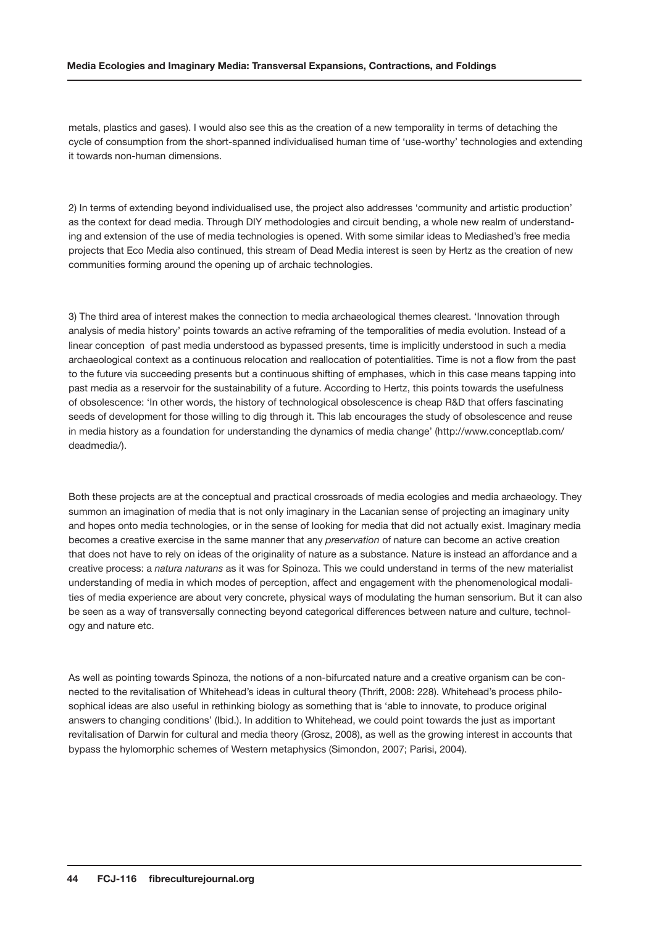metals, plastics and gases). I would also see this as the creation of a new temporality in terms of detaching the cycle of consumption from the short-spanned individualised human time of 'use-worthy' technologies and extending it towards non-human dimensions.

2) In terms of extending beyond individualised use, the project also addresses 'community and artistic production' as the context for dead media. Through DIY methodologies and circuit bending, a whole new realm of understanding and extension of the use of media technologies is opened. With some similar ideas to Mediashed's free media projects that Eco Media also continued, this stream of Dead Media interest is seen by Hertz as the creation of new communities forming around the opening up of archaic technologies.

3) The third area of interest makes the connection to media archaeological themes clearest. 'Innovation through analysis of media history' points towards an active reframing of the temporalities of media evolution. Instead of a linear conception of past media understood as bypassed presents, time is implicitly understood in such a media archaeological context as a continuous relocation and reallocation of potentialities. Time is not a flow from the past to the future via succeeding presents but a continuous shifting of emphases, which in this case means tapping into past media as a reservoir for the sustainability of a future. According to Hertz, this points towards the usefulness of obsolescence: 'In other words, the history of technological obsolescence is cheap R&D that offers fascinating seeds of development for those willing to dig through it. This lab encourages the study of obsolescence and reuse in media history as a foundation for understanding the dynamics of media change' (http://www.conceptlab.com/ deadmedia/).

Both these projects are at the conceptual and practical crossroads of media ecologies and media archaeology. They summon an imagination of media that is not only imaginary in the Lacanian sense of projecting an imaginary unity and hopes onto media technologies, or in the sense of looking for media that did not actually exist. Imaginary media becomes a creative exercise in the same manner that any *preservation* of nature can become an active creation that does not have to rely on ideas of the originality of nature as a substance. Nature is instead an affordance and a creative process: a *natura naturans* as it was for Spinoza. This we could understand in terms of the new materialist understanding of media in which modes of perception, affect and engagement with the phenomenological modalities of media experience are about very concrete, physical ways of modulating the human sensorium. But it can also be seen as a way of transversally connecting beyond categorical differences between nature and culture, technology and nature etc.

As well as pointing towards Spinoza, the notions of a non-bifurcated nature and a creative organism can be connected to the revitalisation of Whitehead's ideas in cultural theory (Thrift, 2008: 228). Whitehead's process philosophical ideas are also useful in rethinking biology as something that is 'able to innovate, to produce original answers to changing conditions' (Ibid.). In addition to Whitehead, we could point towards the just as important revitalisation of Darwin for cultural and media theory (Grosz, 2008), as well as the growing interest in accounts that bypass the hylomorphic schemes of Western metaphysics (Simondon, 2007; Parisi, 2004).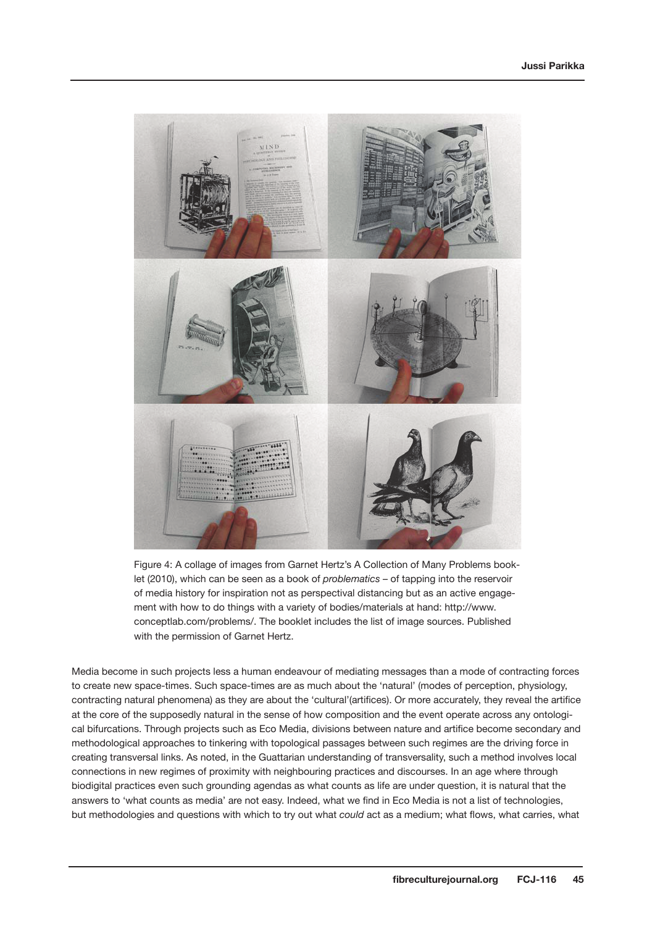

Figure 4: A collage of images from Garnet Hertz's A Collection of Many Problems booklet (2010), which can be seen as a book of *problematics* – of tapping into the reservoir of media history for inspiration not as perspectival distancing but as an active engagement with how to do things with a variety of bodies/materials at hand: http://www. conceptlab.com/problems/. The booklet includes the list of image sources. Published with the permission of Garnet Hertz.

Media become in such projects less a human endeavour of mediating messages than a mode of contracting forces to create new space-times. Such space-times are as much about the 'natural' (modes of perception, physiology, contracting natural phenomena) as they are about the 'cultural'(artifices). Or more accurately, they reveal the artifice at the core of the supposedly natural in the sense of how composition and the event operate across any ontological bifurcations. Through projects such as Eco Media, divisions between nature and artifice become secondary and methodological approaches to tinkering with topological passages between such regimes are the driving force in creating transversal links. As noted, in the Guattarian understanding of transversality, such a method involves local connections in new regimes of proximity with neighbouring practices and discourses. In an age where through biodigital practices even such grounding agendas as what counts as life are under question, it is natural that the answers to 'what counts as media' are not easy. Indeed, what we find in Eco Media is not a list of technologies, but methodologies and questions with which to try out what *could* act as a medium; what flows, what carries, what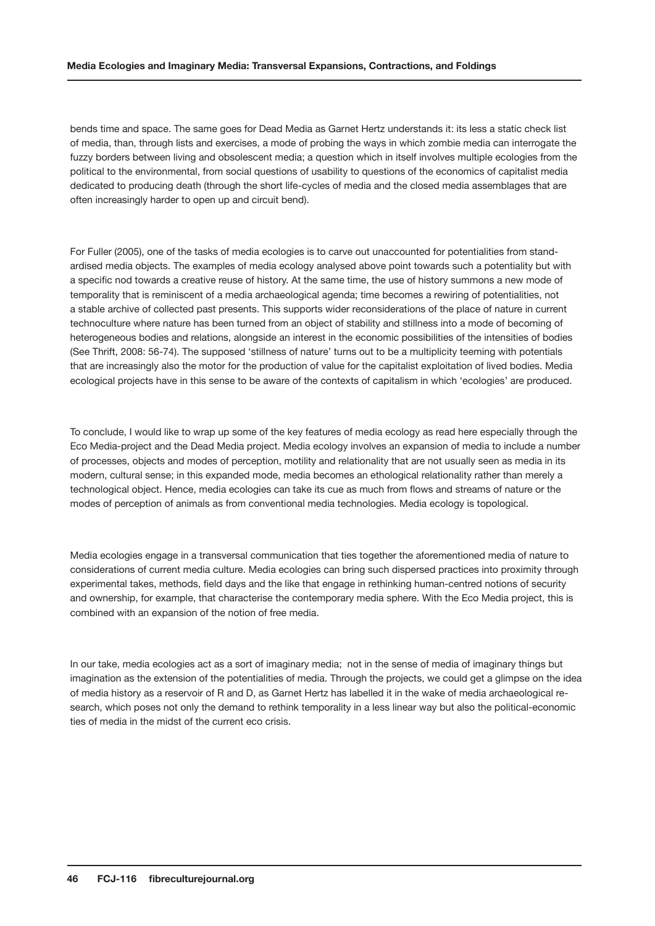bends time and space. The same goes for Dead Media as Garnet Hertz understands it: its less a static check list of media, than, through lists and exercises, a mode of probing the ways in which zombie media can interrogate the fuzzy borders between living and obsolescent media; a question which in itself involves multiple ecologies from the political to the environmental, from social questions of usability to questions of the economics of capitalist media dedicated to producing death (through the short life-cycles of media and the closed media assemblages that are often increasingly harder to open up and circuit bend).

For Fuller (2005), one of the tasks of media ecologies is to carve out unaccounted for potentialities from standardised media objects. The examples of media ecology analysed above point towards such a potentiality but with a specific nod towards a creative reuse of history. At the same time, the use of history summons a new mode of temporality that is reminiscent of a media archaeological agenda; time becomes a rewiring of potentialities, not a stable archive of collected past presents. This supports wider reconsiderations of the place of nature in current technoculture where nature has been turned from an object of stability and stillness into a mode of becoming of heterogeneous bodies and relations, alongside an interest in the economic possibilities of the intensities of bodies (See Thrift, 2008: 56-74). The supposed 'stillness of nature' turns out to be a multiplicity teeming with potentials that are increasingly also the motor for the production of value for the capitalist exploitation of lived bodies. Media ecological projects have in this sense to be aware of the contexts of capitalism in which 'ecologies' are produced.

To conclude, I would like to wrap up some of the key features of media ecology as read here especially through the Eco Media-project and the Dead Media project. Media ecology involves an expansion of media to include a number of processes, objects and modes of perception, motility and relationality that are not usually seen as media in its modern, cultural sense; in this expanded mode, media becomes an ethological relationality rather than merely a technological object. Hence, media ecologies can take its cue as much from flows and streams of nature or the modes of perception of animals as from conventional media technologies. Media ecology is topological.

Media ecologies engage in a transversal communication that ties together the aforementioned media of nature to considerations of current media culture. Media ecologies can bring such dispersed practices into proximity through experimental takes, methods, field days and the like that engage in rethinking human-centred notions of security and ownership, for example, that characterise the contemporary media sphere. With the Eco Media project, this is combined with an expansion of the notion of free media.

In our take, media ecologies act as a sort of imaginary media; not in the sense of media of imaginary things but imagination as the extension of the potentialities of media. Through the projects, we could get a glimpse on the idea of media history as a reservoir of R and D, as Garnet Hertz has labelled it in the wake of media archaeological research, which poses not only the demand to rethink temporality in a less linear way but also the political-economic ties of media in the midst of the current eco crisis.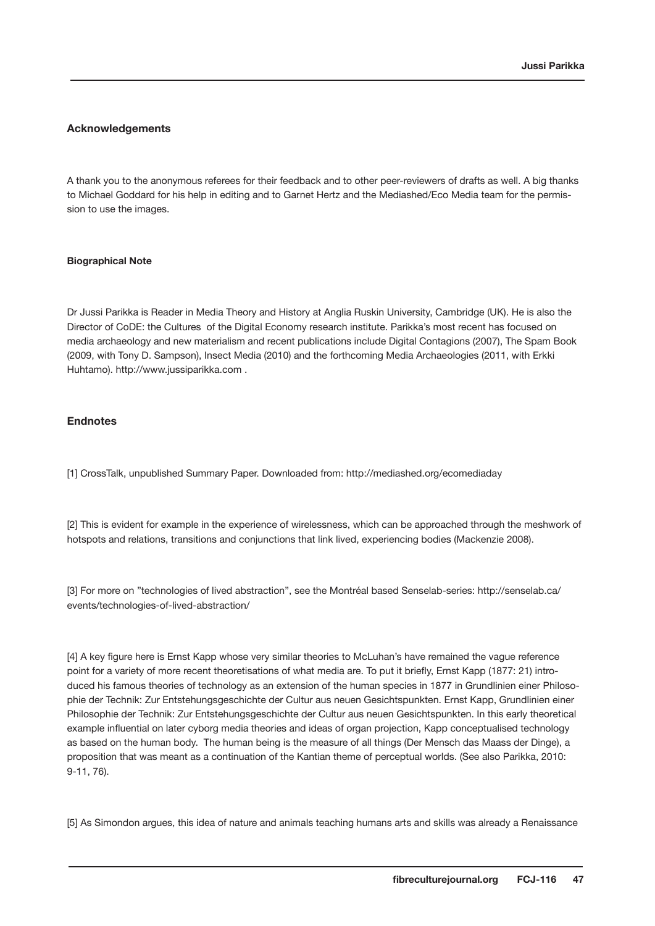# **Acknowledgements**

A thank you to the anonymous referees for their feedback and to other peer-reviewers of drafts as well. A big thanks to Michael Goddard for his help in editing and to Garnet Hertz and the Mediashed/Eco Media team for the permission to use the images.

## **Biographical Note**

Dr Jussi Parikka is Reader in Media Theory and History at Anglia Ruskin University, Cambridge (UK). He is also the Director of CoDE: the Cultures of the Digital Economy research institute. Parikka's most recent has focused on media archaeology and new materialism and recent publications include Digital Contagions (2007), The Spam Book (2009, with Tony D. Sampson), Insect Media (2010) and the forthcoming Media Archaeologies (2011, with Erkki Huhtamo). http://www.jussiparikka.com .

## **Endnotes**

[1] CrossTalk, unpublished Summary Paper. Downloaded from: http://mediashed.org/ecomediaday

[2] This is evident for example in the experience of wirelessness, which can be approached through the meshwork of hotspots and relations, transitions and conjunctions that link lived, experiencing bodies (Mackenzie 2008).

[3] For more on "technologies of lived abstraction", see the Montréal based Senselab-series: http://senselab.ca/ events/technologies-of-lived-abstraction/

[4] A key figure here is Ernst Kapp whose very similar theories to McLuhan's have remained the vague reference point for a variety of more recent theoretisations of what media are. To put it briefly, Ernst Kapp (1877: 21) introduced his famous theories of technology as an extension of the human species in 1877 in Grundlinien einer Philosophie der Technik: Zur Entstehungsgeschichte der Cultur aus neuen Gesichtspunkten. Ernst Kapp, Grundlinien einer Philosophie der Technik: Zur Entstehungsgeschichte der Cultur aus neuen Gesichtspunkten. In this early theoretical example influential on later cyborg media theories and ideas of organ projection, Kapp conceptualised technology as based on the human body. The human being is the measure of all things (Der Mensch das Maass der Dinge), a proposition that was meant as a continuation of the Kantian theme of perceptual worlds. (See also Parikka, 2010: 9-11, 76).

[5] As Simondon argues, this idea of nature and animals teaching humans arts and skills was already a Renaissance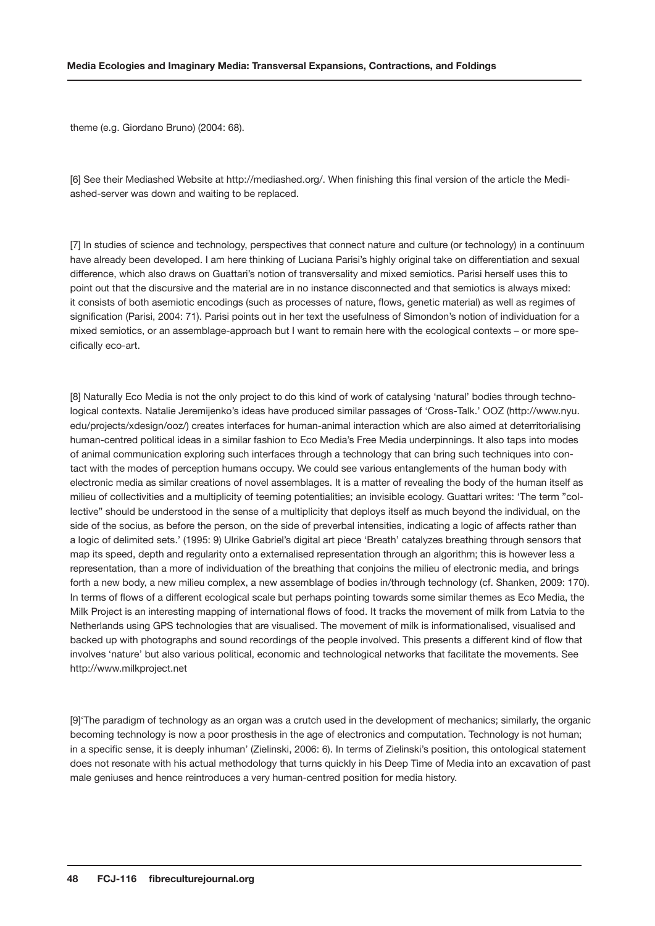theme (e.g. Giordano Bruno) (2004: 68).

[6] See their Mediashed Website at http://mediashed.org/. When finishing this final version of the article the Mediashed-server was down and waiting to be replaced.

[7] In studies of science and technology, perspectives that connect nature and culture (or technology) in a continuum have already been developed. I am here thinking of Luciana Parisi's highly original take on differentiation and sexual difference, which also draws on Guattari's notion of transversality and mixed semiotics. Parisi herself uses this to point out that the discursive and the material are in no instance disconnected and that semiotics is always mixed: it consists of both asemiotic encodings (such as processes of nature, flows, genetic material) as well as regimes of signification (Parisi, 2004: 71). Parisi points out in her text the usefulness of Simondon's notion of individuation for a mixed semiotics, or an assemblage-approach but I want to remain here with the ecological contexts – or more specifically eco-art.

[8] Naturally Eco Media is not the only project to do this kind of work of catalysing 'natural' bodies through technological contexts. Natalie Jeremijenko's ideas have produced similar passages of 'Cross-Talk.' OOZ (http://www.nyu. edu/projects/xdesign/ooz/) creates interfaces for human-animal interaction which are also aimed at deterritorialising human-centred political ideas in a similar fashion to Eco Media's Free Media underpinnings. It also taps into modes of animal communication exploring such interfaces through a technology that can bring such techniques into contact with the modes of perception humans occupy. We could see various entanglements of the human body with electronic media as similar creations of novel assemblages. It is a matter of revealing the body of the human itself as milieu of collectivities and a multiplicity of teeming potentialities; an invisible ecology. Guattari writes: 'The term "collective" should be understood in the sense of a multiplicity that deploys itself as much beyond the individual, on the side of the socius, as before the person, on the side of preverbal intensities, indicating a logic of affects rather than a logic of delimited sets.' (1995: 9) Ulrike Gabriel's digital art piece 'Breath' catalyzes breathing through sensors that map its speed, depth and regularity onto a externalised representation through an algorithm; this is however less a representation, than a more of individuation of the breathing that conjoins the milieu of electronic media, and brings forth a new body, a new milieu complex, a new assemblage of bodies in/through technology (cf. Shanken, 2009: 170). In terms of flows of a different ecological scale but perhaps pointing towards some similar themes as Eco Media, the Milk Project is an interesting mapping of international flows of food. It tracks the movement of milk from Latvia to the Netherlands using GPS technologies that are visualised. The movement of milk is informationalised, visualised and backed up with photographs and sound recordings of the people involved. This presents a different kind of flow that involves 'nature' but also various political, economic and technological networks that facilitate the movements. See http://www.milkproject.net

[9]'The paradigm of technology as an organ was a crutch used in the development of mechanics; similarly, the organic becoming technology is now a poor prosthesis in the age of electronics and computation. Technology is not human; in a specific sense, it is deeply inhuman' (Zielinski, 2006: 6). In terms of Zielinski's position, this ontological statement does not resonate with his actual methodology that turns quickly in his Deep Time of Media into an excavation of past male geniuses and hence reintroduces a very human-centred position for media history.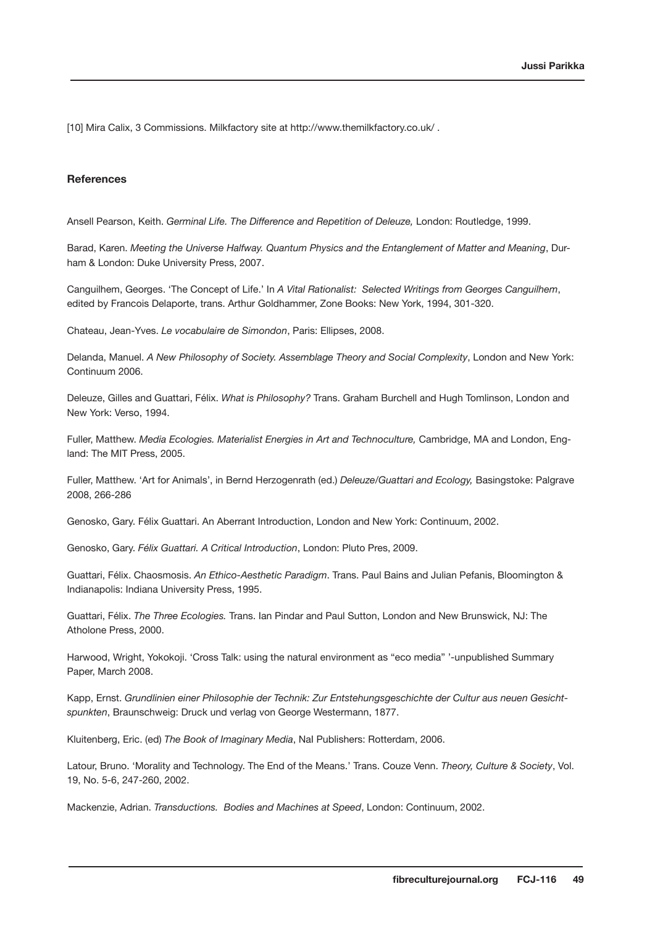[10] Mira Calix, 3 Commissions. Milkfactory site at http://www.themilkfactory.co.uk/.

# **References**

Ansell Pearson, Keith. *Germinal Life. The Difference and Repetition of Deleuze,* London: Routledge, 1999.

Barad, Karen. *Meeting the Universe Halfway. Quantum Physics and the Entanglement of Matter and Meaning*, Durham & London: Duke University Press, 2007.

Canguilhem, Georges. 'The Concept of Life.' In *A Vital Rationalist: Selected Writings from Georges Canguilhem*, edited by Francois Delaporte, trans. Arthur Goldhammer, Zone Books: New York, 1994, 301-320.

Chateau, Jean-Yves. *Le vocabulaire de Simondon*, Paris: Ellipses, 2008.

Delanda, Manuel. *A New Philosophy of Society. Assemblage Theory and Social Complexity*, London and New York: Continuum 2006.

Deleuze, Gilles and Guattari, Félix. *What is Philosophy?* Trans. Graham Burchell and Hugh Tomlinson, London and New York: Verso, 1994.

Fuller, Matthew. *Media Ecologies. Materialist Energies in Art and Technoculture,* Cambridge, MA and London, England: The MIT Press, 2005.

Fuller, Matthew. 'Art for Animals', in Bernd Herzogenrath (ed.) *Deleuze/Guattari and Ecology,* Basingstoke: Palgrave 2008, 266-286

Genosko, Gary. Félix Guattari. An Aberrant Introduction, London and New York: Continuum, 2002.

Genosko, Gary. *Félix Guattari. A Critical Introduction*, London: Pluto Pres, 2009.

Guattari, Félix. Chaosmosis. *An Ethico-Aesthetic Paradigm*. Trans. Paul Bains and Julian Pefanis, Bloomington & Indianapolis: Indiana University Press, 1995.

Guattari, Félix. *The Three Ecologies.* Trans. Ian Pindar and Paul Sutton, London and New Brunswick, NJ: The Atholone Press, 2000.

Harwood, Wright, Yokokoji. 'Cross Talk: using the natural environment as "eco media" '-unpublished Summary Paper, March 2008.

Kapp, Ernst. *Grundlinien einer Philosophie der Technik: Zur Entstehungsgeschichte der Cultur aus neuen Gesichtspunkten*, Braunschweig: Druck und verlag von George Westermann, 1877.

Kluitenberg, Eric. (ed) *The Book of Imaginary Media*, NaI Publishers: Rotterdam, 2006.

Latour, Bruno. 'Morality and Technology. The End of the Means.' Trans. Couze Venn. *Theory, Culture & Society*, Vol. 19, No. 5-6, 247-260, 2002.

Mackenzie, Adrian. *Transductions. Bodies and Machines at Speed*, London: Continuum, 2002.